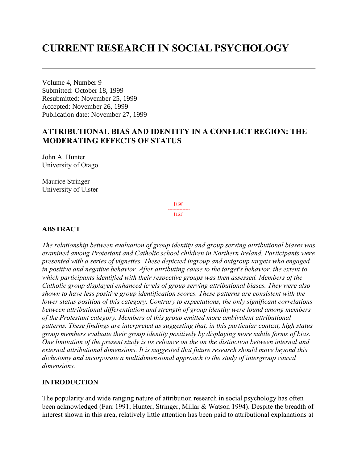# **CURRENT RESEARCH IN SOCIAL PSYCHOLOGY**

Volume 4, Number 9 Submitted: October 18, 1999 Resubmitted: November 25, 1999 Accepted: November 26, 1999 Publication date: November 27, 1999

# **ATTRIBUTIONAL BIAS AND IDENTITY IN A CONFLICT REGION: THE MODERATING EFFECTS OF STATUS**

John A. Hunter University of Otago

Maurice Stringer University of Ulster

> [160] --------------- [161]

# **ABSTRACT**

*The relationship between evaluation of group identity and group serving attributional biases was examined among Protestant and Catholic school children in Northern Ireland. Participants were presented with a series of vignettes. These depicted ingroup and outgroup targets who engaged in positive and negative behavior. After attributing cause to the target's behavior, the extent to which participants identified with their respective groups was then assessed. Members of the Catholic group displayed enhanced levels of group serving attributional biases. They were also shown to have less positive group identification scores. These patterns are consistent with the lower status position of this category. Contrary to expectations, the only significant correlations between attributional differentiation and strength of group identity were found among members of the Protestant category. Members of this group emitted more ambivalent attributional patterns. These findings are interpreted as suggesting that, in this particular context, high status group members evaluate their group identity positively by displaying more subtle forms of bias. One limitation of the present study is its reliance on the on the distinction between internal and external attributional dimensions. It is suggested that future research should move beyond this dichotomy and incorporate a multidimensional approach to the study of intergroup causal dimensions.*

## **INTRODUCTION**

The popularity and wide ranging nature of attribution research in social psychology has often been acknowledged (Farr 1991; Hunter, Stringer, Millar & Watson 1994). Despite the breadth of interest shown in this area, relatively little attention has been paid to attributional explanations at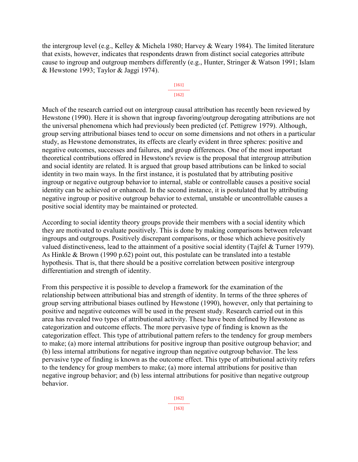the intergroup level (e.g., Kelley & Michela 1980; Harvey & Weary 1984). The limited literature that exists, however, indicates that respondents drawn from distinct social categories attribute cause to ingroup and outgroup members differently (e.g., Hunter, Stringer & Watson 1991; Islam & Hewstone 1993; Taylor & Jaggi 1974).

#### [161] --------------- [162]

Much of the research carried out on intergroup causal attribution has recently been reviewed by Hewstone (1990). Here it is shown that ingroup favoring/outgroup derogating attributions are not the universal phenomena which had previously been predicted (cf. Pettigrew 1979). Although, group serving attributional biases tend to occur on some dimensions and not others in a particular study, as Hewstone demonstrates, its effects are clearly evident in three spheres: positive and negative outcomes, successes and failures, and group differences. One of the most important theoretical contributions offered in Hewstone's review is the proposal that intergroup attribution and social identity are related. It is argued that group based attributions can be linked to social identity in two main ways. In the first instance, it is postulated that by attributing positive ingroup or negative outgroup behavior to internal, stable or controllable causes a positive social identity can be achieved or enhanced. In the second instance, it is postulated that by attributing negative ingroup or positive outgroup behavior to external, unstable or uncontrollable causes a positive social identity may be maintained or protected.

According to social identity theory groups provide their members with a social identity which they are motivated to evaluate positively. This is done by making comparisons between relevant ingroups and outgroups. Positively discrepant comparisons, or those which achieve positively valued distinctiveness, lead to the attainment of a positive social identity (Tajfel & Turner 1979). As Hinkle & Brown (1990 p.62) point out, this postulate can be translated into a testable hypothesis. That is, that there should be a positive correlation between positive intergroup differentiation and strength of identity.

From this perspective it is possible to develop a framework for the examination of the relationship between attributional bias and strength of identity. In terms of the three spheres of group serving attributional biases outlined by Hewstone (1990), however, only that pertaining to positive and negative outcomes will be used in the present study. Research carried out in this area has revealed two types of attributional activity. These have been defined by Hewstone as categorization and outcome effects. The more pervasive type of finding is known as the categorization effect. This type of attributional pattern refers to the tendency for group members to make; (a) more internal attributions for positive ingroup than positive outgroup behavior; and (b) less internal attributions for negative ingroup than negative outgroup behavior. The less pervasive type of finding is known as the outcome effect. This type of attributional activity refers to the tendency for group members to make; (a) more internal attributions for positive than negative ingroup behavior; and (b) less internal attributions for positive than negative outgroup behavior.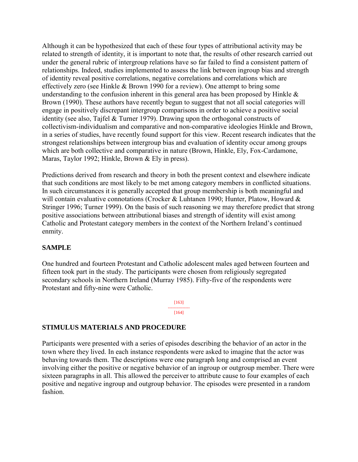Although it can be hypothesized that each of these four types of attributional activity may be related to strength of identity, it is important to note that, the results of other research carried out under the general rubric of intergroup relations have so far failed to find a consistent pattern of relationships. Indeed, studies implemented to assess the link between ingroup bias and strength of identity reveal positive correlations, negative correlations and correlations which are effectively zero (see Hinkle & Brown 1990 for a review). One attempt to bring some understanding to the confusion inherent in this general area has been proposed by Hinkle  $\&$ Brown (1990). These authors have recently begun to suggest that not all social categories will engage in positively discrepant intergroup comparisons in order to achieve a positive social identity (see also, Tajfel & Turner 1979). Drawing upon the orthogonal constructs of collectivism-individualism and comparative and non-comparative ideologies Hinkle and Brown, in a series of studies, have recently found support for this view. Recent research indicates that the strongest relationships between intergroup bias and evaluation of identity occur among groups which are both collective and comparative in nature (Brown, Hinkle, Ely, Fox-Cardamone, Maras, Taylor 1992; Hinkle, Brown & Ely in press).

Predictions derived from research and theory in both the present context and elsewhere indicate that such conditions are most likely to be met among category members in conflicted situations. In such circumstances it is generally accepted that group membership is both meaningful and will contain evaluative connotations (Crocker & Luhtanen 1990; Hunter, Platow, Howard & Stringer 1996; Turner 1999). On the basis of such reasoning we may therefore predict that strong positive associations between attributional biases and strength of identity will exist among Catholic and Protestant category members in the context of the Northern Ireland's continued enmity.

## **SAMPLE**

One hundred and fourteen Protestant and Catholic adolescent males aged between fourteen and fifteen took part in the study. The participants were chosen from religiously segregated secondary schools in Northern Ireland (Murray 1985). Fifty-five of the respondents were Protestant and fifty-nine were Catholic.

> [163] --------------- [164]

## **STIMULUS MATERIALS AND PROCEDURE**

Participants were presented with a series of episodes describing the behavior of an actor in the town where they lived. In each instance respondents were asked to imagine that the actor was behaving towards them. The descriptions were one paragraph long and comprised an event involving either the positive or negative behavior of an ingroup or outgroup member. There were sixteen paragraphs in all. This allowed the perceiver to attribute cause to four examples of each positive and negative ingroup and outgroup behavior. The episodes were presented in a random fashion.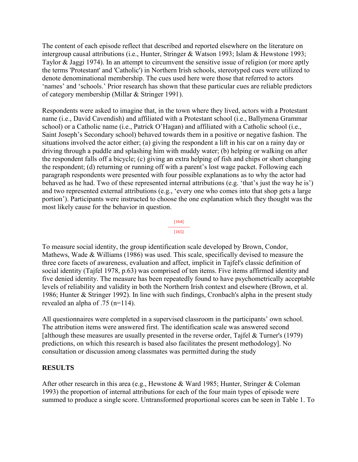The content of each episode reflect that described and reported elsewhere on the literature on intergroup causal attributions (i.e., Hunter, Stringer & Watson 1993; Islam & Hewstone 1993; Taylor & Jaggi 1974). In an attempt to circumvent the sensitive issue of religion (or more aptly the terms 'Protestant' and 'Catholic') in Northern Irish schools, stereotyped cues were utilized to denote denominational membership. The cues used here were those that referred to actors 'names' and 'schools.' Prior research has shown that these particular cues are reliable predictors of category membership (Millar & Stringer 1991).

Respondents were asked to imagine that, in the town where they lived, actors with a Protestant name (i.e., David Cavendish) and affiliated with a Protestant school (i.e., Ballymena Grammar school) or a Catholic name (i.e., Patrick O'Hagan) and affiliated with a Catholic school (i.e., Saint Joseph's Secondary school) behaved towards them in a positive or negative fashion. The situations involved the actor either; (a) giving the respondent a lift in his car on a rainy day or driving through a puddle and splashing him with muddy water; (b) helping or walking on after the respondent falls off a bicycle; (c) giving an extra helping of fish and chips or short changing the respondent; (d) returning or running off with a parent's lost wage packet. Following each paragraph respondents were presented with four possible explanations as to why the actor had behaved as he had. Two of these represented internal attributions (e.g. 'that's just the way he is') and two represented external attributions (e.g., 'every one who comes into that shop gets a large portion'). Participants were instructed to choose the one explanation which they thought was the most likely cause for the behavior in question.



To measure social identity, the group identification scale developed by Brown, Condor, Mathews, Wade & Williams (1986) was used. This scale, specifically devised to measure the three core facets of awareness, evaluation and affect, implicit in Tajfel's classic definition of social identity (Tajfel 1978, p.63) was comprised of ten items. Five items affirmed identity and five denied identity. The measure has been repeatedly found to have psychometrically acceptable levels of reliability and validity in both the Northern Irish context and elsewhere (Brown, et al. 1986; Hunter & Stringer 1992). In line with such findings, Cronbach's alpha in the present study revealed an alpha of .75 (n=114).

All questionnaires were completed in a supervised classroom in the participants' own school. The attribution items were answered first. The identification scale was answered second [although these measures are usually presented in the reverse order, Tajfel & Turner's (1979) predictions, on which this research is based also facilitates the present methodology]. No consultation or discussion among classmates was permitted during the study

## **RESULTS**

After other research in this area (e.g., Hewstone & Ward 1985; Hunter, Stringer & Coleman 1993) the proportion of internal attributions for each of the four main types of episode were summed to produce a single score. Untransformed proportional scores can be seen in Table 1. To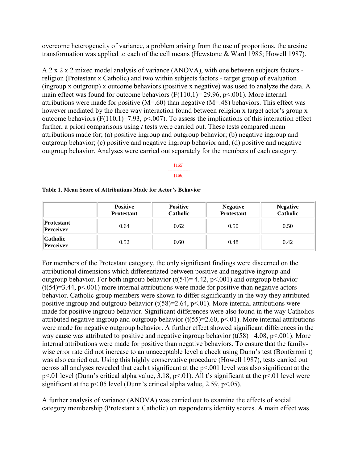overcome heterogeneity of variance, a problem arising from the use of proportions, the arcsine transformation was applied to each of the cell means (Hewstone & Ward 1985; Howell 1987).

A 2 x 2 x 2 mixed model analysis of variance (ANOVA), with one between subjects factors religion (Protestant x Catholic) and two within subjects factors - target group of evaluation (ingroup x outgroup) x outcome behaviors (positive x negative) was used to analyze the data. A main effect was found for outcome behaviors  $(F(110,1)=29.96, p<.001)$ . More internal attributions were made for positive  $(M=60)$  than negative  $(M=48)$  behaviors. This effect was however mediated by the three way interaction found between religion x target actor's group x outcome behaviors ( $F(110,1)=7.93$ ,  $p<.007$ ). To assess the implications of this interaction effect further, a priori comparisons using *t* tests were carried out. These tests compared mean attributions made for; (a) positive ingroup and outgroup behavior; (b) negative ingroup and outgroup behavior; (c) positive and negative ingroup behavior and; (d) positive and negative outgroup behavior. Analyses were carried out separately for the members of each category.

> [165] --------------- [166]

|                         | <b>Positive</b><br><b>Protestant</b> | <b>Positive</b><br><b>Catholic</b> | <b>Negative</b><br><b>Protestant</b> | <b>Negative</b><br><b>Catholic</b> |
|-------------------------|--------------------------------------|------------------------------------|--------------------------------------|------------------------------------|
| Protestant<br>Perceiver | 0.64                                 | 0.62                               | 0.50                                 | 0.50                               |
| Catholic <br>Perceiver  | 0.52                                 | 0.60                               | 0.48                                 | 0.42                               |

#### **Table 1. Mean Score of Attributions Made for Actor's Behavior**

For members of the Protestant category, the only significant findings were discerned on the attributional dimensions which differentiated between positive and negative ingroup and outgroup behavior. For both ingroup behavior  $(t(54)=4.42, p<.001)$  and outgroup behavior  $(t(54)=3.44, p<0.01)$  more internal attributions were made for positive than negative actors behavior. Catholic group members were shown to differ significantly in the way they attributed positive ingroup and outgroup behavior  $(t(58)=2.64, p<0.01)$ . More internal attributions were made for positive ingroup behavior. Significant differences were also found in the way Catholics attributed negative ingroup and outgroup behavior  $(t(55)=2.60, p<0.1)$ . More internal attributions were made for negative outgroup behavior. A further effect showed significant differences in the way cause was attributed to positive and negative ingroup behavior  $(t(58)=4.08, p<.001)$ . More internal attributions were made for positive than negative behaviors. To ensure that the familywise error rate did not increase to an unacceptable level a check using Dunn's test (Bonferroni t) was also carried out. Using this highly conservative procedure (Howell 1987), tests carried out across all analyses revealed that each t significant at the p<.001 level was also significant at the p<.01 level (Dunn's critical alpha value, 3.18, p<.01). All t's significant at the p<.01 level were significant at the p<.05 level (Dunn's critical alpha value, 2.59, p<.05).

A further analysis of variance (ANOVA) was carried out to examine the effects of social category membership (Protestant x Catholic) on respondents identity scores. A main effect was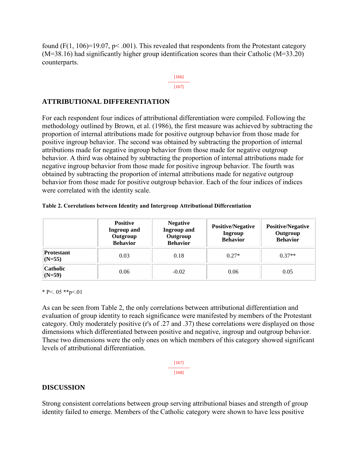found (F(1, 106)=19.07,  $p < .001$ ). This revealed that respondents from the Protestant category (M=38.16) had significantly higher group identification scores than their Catholic (M=33.20) counterparts.

#### [166] --------------- [167]

# **ATTRIBUTIONAL DIFFERENTIATION**

For each respondent four indices of attributional differentiation were compiled. Following the methodology outlined by Brown, et al. (1986), the first measure was achieved by subtracting the proportion of internal attributions made for positive outgroup behavior from those made for positive ingroup behavior. The second was obtained by subtracting the proportion of internal attributions made for negative ingroup behavior from those made for negative outgroup behavior. A third was obtained by subtracting the proportion of internal attributions made for negative ingroup behavior from those made for positive ingroup behavior. The fourth was obtained by subtracting the proportion of internal attributions made for negative outgroup behavior from those made for positive outgroup behavior. Each of the four indices of indices were correlated with the identity scale.

|                               | <b>Positive</b><br><b>Ingroup and</b><br>Outgroup<br><b>Behavior</b> | <b>Negative</b><br><b>Ingroup and</b><br>Outgroup<br><b>Behavior</b> | <b>Positive/Negative</b><br><b>Ingroup</b><br><b>Behavior</b> | <b>Positive/Negative</b><br>Outgroup<br><b>Behavior</b> |
|-------------------------------|----------------------------------------------------------------------|----------------------------------------------------------------------|---------------------------------------------------------------|---------------------------------------------------------|
| <b>Protestant</b><br>$(N=55)$ | 0.03                                                                 | 0.18                                                                 | $0.27*$                                                       | $0.37**$                                                |
| <b>Catholic</b><br>$(N=59)$   | 0.06                                                                 | $-0.02$                                                              | 0.06                                                          | 0.05                                                    |

#### **Table 2. Correlations between Identity and Intergroup Attributional Differentiation**

\* P<. 05 \*\* p <. 01

As can be seen from Table 2, the only correlations between attributional differentiation and evaluation of group identity to reach significance were manifested by members of the Protestant category. Only moderately positive (r's of .27 and .37) these correlations were displayed on those dimensions which differentiated between positive and negative, ingroup and outgroup behavior. These two dimensions were the only ones on which members of this category showed significant levels of attributional differentiation.

$$
\begin{array}{c}\n[167] \\
\hline\n[168]\n\end{array}
$$

# **DISCUSSION**

Strong consistent correlations between group serving attributional biases and strength of group identity failed to emerge. Members of the Catholic category were shown to have less positive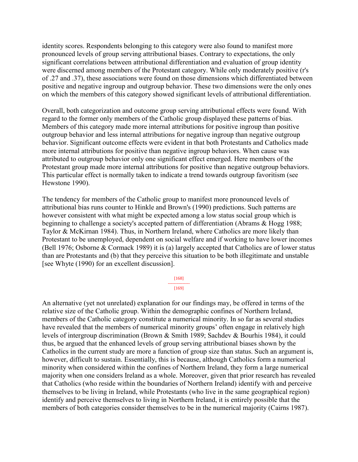identity scores. Respondents belonging to this category were also found to manifest more pronounced levels of group serving attributional biases. Contrary to expectations, the only significant correlations between attributional differentiation and evaluation of group identity were discerned among members of the Protestant category. While only moderately positive (r's of .27 and .37), these associations were found on those dimensions which differentiated between positive and negative ingroup and outgroup behavior. These two dimensions were the only ones on which the members of this category showed significant levels of attributional differentiation.

Overall, both categorization and outcome group serving attributional effects were found. With regard to the former only members of the Catholic group displayed these patterns of bias. Members of this category made more internal attributions for positive ingroup than positive outgroup behavior and less internal attributions for negative ingroup than negative outgroup behavior. Significant outcome effects were evident in that both Protestants and Catholics made more internal attributions for positive than negative ingroup behaviors. When cause was attributed to outgroup behavior only one significant effect emerged. Here members of the Protestant group made more internal attributions for positive than negative outgroup behaviors. This particular effect is normally taken to indicate a trend towards outgroup favoritism (see Hewstone 1990).

The tendency for members of the Catholic group to manifest more pronounced levels of attributional bias runs counter to Hinkle and Brown's (1990) predictions. Such patterns are however consistent with what might be expected among a low status social group which is beginning to challenge a society's accepted pattern of differentiation (Abrams & Hogg 1988; Taylor & McKirnan 1984). Thus, in Northern Ireland, where Catholics are more likely than Protestant to be unemployed, dependent on social welfare and if working to have lower incomes (Bell 1976; Osborne & Cormack 1989) it is (a) largely accepted that Catholics are of lower status than are Protestants and (b) that they perceive this situation to be both illegitimate and unstable [see Whyte (1990) for an excellent discussion].

> [168] --------------- [169]

An alternative (yet not unrelated) explanation for our findings may, be offered in terms of the relative size of the Catholic group. Within the demographic confines of Northern Ireland, members of the Catholic category constitute a numerical minority. In so far as several studies have revealed that the members of numerical minority groups' often engage in relatively high levels of intergroup discrimination (Brown & Smith 1989; Sachdev & Bourhis 1984), it could thus, be argued that the enhanced levels of group serving attributional biases shown by the Catholics in the current study are more a function of group size than status. Such an argument is, however, difficult to sustain. Essentially, this is because, although Catholics form a numerical minority when considered within the confines of Northern Ireland, they form a large numerical majority when one considers Ireland as a whole. Moreover, given that prior research has revealed that Catholics (who reside within the boundaries of Northern Ireland) identify with and perceive themselves to be living in Ireland, while Protestants (who live in the same geographical region) identify and perceive themselves to living in Northern Ireland, it is entirely possible that the members of both categories consider themselves to be in the numerical majority (Cairns 1987).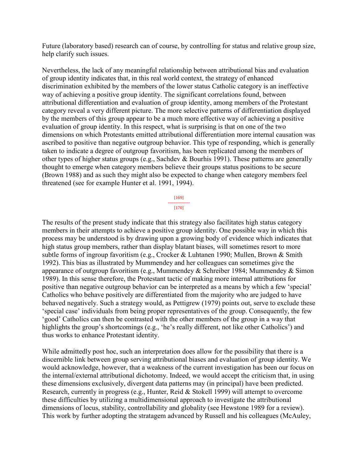Future (laboratory based) research can of course, by controlling for status and relative group size, help clarify such issues.

Nevertheless, the lack of any meaningful relationship between attributional bias and evaluation of group identity indicates that, in this real world context, the strategy of enhanced discrimination exhibited by the members of the lower status Catholic category is an ineffective way of achieving a positive group identity. The significant correlations found, between attributional differentiation and evaluation of group identity, among members of the Protestant category reveal a very different picture. The more selective patterns of differentiation displayed by the members of this group appear to be a much more effective way of achieving a positive evaluation of group identity. In this respect, what is surprising is that on one of the two dimensions on which Protestants emitted attributional differentiation more internal causation was ascribed to positive than negative outgroup behavior. This type of responding, which is generally taken to indicate a degree of outgroup favoritism, has been replicated among the members of other types of higher status groups (e.g., Sachdev & Bourhis 1991). These patterns are generally thought to emerge when category members believe their groups status positions to be secure (Brown 1988) and as such they might also be expected to change when category members feel threatened (see for example Hunter et al. 1991, 1994).

> [169] --------------- [170]

The results of the present study indicate that this strategy also facilitates high status category members in their attempts to achieve a positive group identity. One possible way in which this process may be understood is by drawing upon a growing body of evidence which indicates that high status group members, rather than display blatant biases, will sometimes resort to more subtle forms of ingroup favoritism (e.g., Crocker & Luhtanen 1990; Mullen, Brown & Smith 1992). This bias as illustrated by Mummendey and her colleagues can sometimes give the appearance of outgroup favoritism (e.g., Mummendey & Schreiber 1984; Mummendey & Simon 1989). In this sense therefore, the Protestant tactic of making more internal attributions for positive than negative outgroup behavior can be interpreted as a means by which a few 'special' Catholics who behave positively are differentiated from the majority who are judged to have behaved negatively. Such a strategy would, as Pettigrew (1979) points out, serve to exclude these 'special case' individuals from being proper representatives of the group. Consequently, the few 'good' Catholics can then be contrasted with the other members of the group in a way that highlights the group's shortcomings (e.g., 'he's really different, not like other Catholics') and thus works to enhance Protestant identity.

While admittedly post hoc, such an interpretation does allow for the possibility that there is a discernible link between group serving attributional biases and evaluation of group identity. We would acknowledge, however, that a weakness of the current investigation has been our focus on the internal/external attributional dichotomy. Indeed, we would accept the criticism that, in using these dimensions exclusively, divergent data patterns may (in principal) have been predicted. Research, currently in progress (e.g., Hunter, Reid & Stokell 1999) will attempt to overcome these difficulties by utilizing a multidimensional approach to investigate the attributional dimensions of locus, stability, controllability and globality (see Hewstone 1989 for a review). This work by further adopting the stratagem advanced by Russell and his colleagues (McAuley,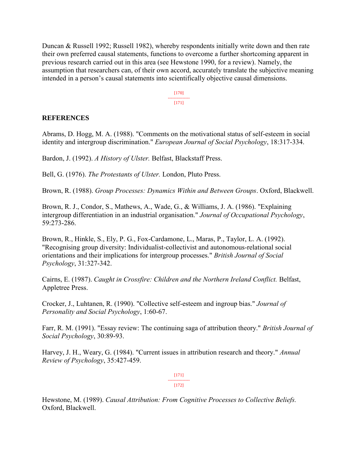Duncan & Russell 1992; Russell 1982), whereby respondents initially write down and then rate their own preferred causal statements, functions to overcome a further shortcoming apparent in previous research carried out in this area (see Hewstone 1990, for a review). Namely, the assumption that researchers can, of their own accord, accurately translate the subjective meaning intended in a person's causal statements into scientifically objective causal dimensions.

> [170] --------------- [171]

# **REFERENCES**

Abrams, D. Hogg, M. A. (1988). "Comments on the motivational status of self-esteem in social identity and intergroup discrimination." *European Journal of Social Psychology*, 18:317-334.

Bardon, J. (1992). *A History of Ulster.* Belfast, Blackstaff Press.

Bell, G. (1976). *The Protestants of Ulster.* London, Pluto Press.

Brown, R. (1988). *Group Processes: Dynamics Within and Between Groups*. Oxford, Blackwell.

Brown, R. J., Condor, S., Mathews, A., Wade, G., & Williams, J. A. (1986). "Explaining intergroup differentiation in an industrial organisation." *Journal of Occupational Psychology*, 59:273-286.

Brown, R., Hinkle, S., Ely, P. G., Fox-Cardamone, L., Maras, P., Taylor, L. A. (1992). "Recognising group diversity: Individualist-collectivist and autonomous-relational social orientations and their implications for intergroup processes." *British Journal of Social Psychology*, 31:327-342.

Cairns, E. (1987). *Caught in Crossfire: Children and the Northern Ireland Conflict.* Belfast, Appletree Press.

Crocker, J., Luhtanen, R. (1990). "Collective self-esteem and ingroup bias." *Journal of Personality and Social Psychology*, 1:60-67.

Farr, R. M. (1991). "Essay review: The continuing saga of attribution theory." *British Journal of Social Psychology*, 30:89-93.

Harvey, J. H., Weary, G. (1984). "Current issues in attribution research and theory." *Annual Review of Psychology*, 35:427-459.

> [171] --------------- [172]

Hewstone, M. (1989). *Causal Attribution: From Cognitive Processes to Collective Beliefs.*  Oxford, Blackwell.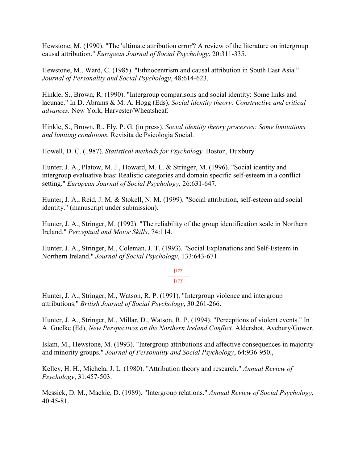Hewstone, M. (1990). "The 'ultimate attribution error'? A review of the literature on intergroup causal attribution." *European Journal of Social Psychology*, 20:311-335.

Hewstone, M., Ward, C. (1985). "Ethnocentrism and causal attribution in South East Asia." *Journal of Personality and Social Psychology*, 48:614-623.

Hinkle, S., Brown, R. (1990). "Intergroup comparisons and social identity: Some links and lacunae." In D. Abrams & M. A. Hogg (Eds), *Social identity theory: Constructive and critical advances.* New York, Harvester/Wheatsheaf.

Hinkle, S., Brown, R., Ely, P. G. (in press). *Social identity theory processes: Some limitations and limiting conditions.* Revisita de Psicologia Social.

Howell, D. C. (1987). *Statistical methods for Psychology.* Boston, Duxbury.

Hunter, J. A., Platow, M. J., Howard, M. L. & Stringer, M. (1996). "Social identity and intergroup evaluative bias: Realistic categories and domain specific self-esteem in a conflict setting." *European Journal of Social Psychology*, 26:631-647.

Hunter, J. A., Reid, J. M. & Stokell, N. M. (1999). "Social attribution, self-esteem and social identity." (manuscript under submission).

Hunter, J. A., Stringer, M. (1992). "The reliability of the group identification scale in Northern Ireland." *Perceptual and Motor Skills*, 74:114.

Hunter, J. A., Stringer, M., Coleman, J. T. (1993). "Social Explanations and Self-Esteem in Northern Ireland." *Journal of Social Psychology*, 133:643-671.

#### [172] ---------------

[173]

Hunter, J. A., Stringer, M., Watson, R. P. (1991). "Intergroup violence and intergroup attributions." *British Journal of Social Psychology*, 30:261-266.

Hunter, J. A., Stringer, M., Millar, D., Watson, R. P. (1994). "Perceptions of violent events." In A. Guelke (Ed), *New Perspectives on the Northern Ireland Conflict.* Aldershot, Avebury/Gower.

Islam, M., Hewstone, M. (1993). "Intergroup attributions and affective consequences in majority and minority groups." *Journal of Personality and Social Psychology*, 64:936-950.,

Kelley, H. H., Michela, J. L. (1980). "Attribution theory and research." *Annual Review of Psychology*, 31:457-503.

Messick, D. M., Mackie, D. (1989). "Intergroup relations." *Annual Review of Social Psychology*, 40:45-81.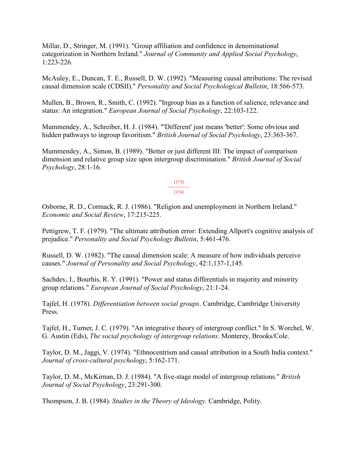Millar, D., Stringer, M. (1991). "Group affiliation and confidence in denominational categorization in Northern Ireland." *Journal of Community and Applied Social Psychology*, 1:223-226.

McAuley, E., Duncan, T. E., Russell, D. W. (1992). "Measuring causal attributions: The revised causal dimension scale (CDSII)." *Personality and Social Psychological Bulletin*, 18:566-573.

Mullen, B., Brown, R., Smith, C. (1992). "Ingroup bias as a function of salience, relevance and status: An integration." *European Journal of Social Psychology*, 22:103-122.

Mummendey, A., Schreiber, H. J. (1984). "'Different' just means 'better': Some obvious and hidden pathways to ingroup favoritism." *British Journal of Social Psychology*, 23:363-367.

Mummendey, A., Simon, B. (1989). "Better or just different III: The impact of comparison dimension and relative group size upon intergroup discrimination." *British Journal of Social Psychology*, 28:1-16.

> [173] --------------- [174]

Osborne, R. D., Cormack, R. J. (1986). "Religion and unemployment in Northern Ireland." *Economic and Social Review*, 17:215-225.

Pettigrew, T. F. (1979). "The ultimate attribution error: Extending Allport's cognitive analysis of prejudice." *Personality and Social Psychology Bulletin*, 5:461-476.

Russell, D. W. (1982). "The causal dimension scale: A measure of how individuals perceive causes." *Journal of Personality and Social Psychology*, 42:1,137-1,145.

Sachdev, I., Bourhis, R. Y. (1991). "Power and status differentials in majority and minority group relations." *European Journal of Social Psychology*, 21:1-24.

Tajfel, H. (1978). *Differentiation between social groups*. Cambridge, Cambridge University Press.

Tajfel, H., Turner, J. C. (1979). "An integrative theory of intergroup conflict." In S. Worchel, W. G. Austin (Eds), *The social psychology of intergroup relations*. Monterey, Brooks/Cole.

Taylor, D. M., Jaggi, V. (1974). "Ethnocentrism and causal attribution in a South India context." *Journal of cross-cultural psychology*, 5:162-171.

Taylor, D. M., McKirnan, D. J. (1984). "A five-stage model of intergroup relations." *British Journal of Social Psychology*, 23:291-300.

Thompson, J. B. (1984). *Studies in the Theory of Ideology.* Cambridge, Polity.